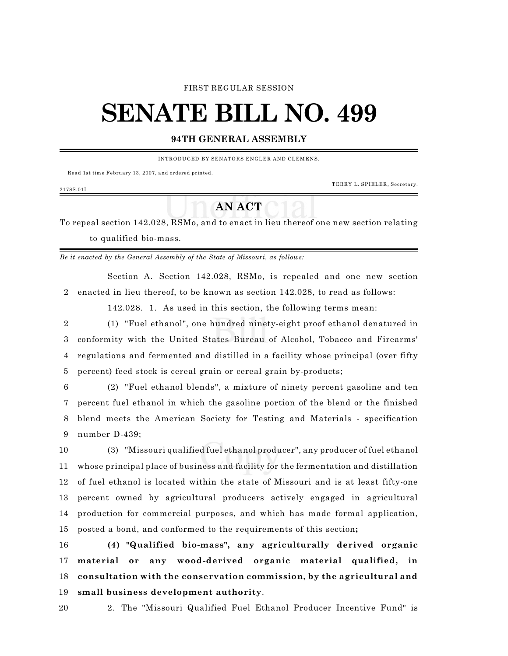#### FIRST REGULAR SESSION

# **SENATE BILL NO. 499**

## **94TH GENERAL ASSEMBLY**

INTRODUCED BY SENATORS ENGLER AND CLEMENS.

Read 1st tim e February 13, 2007, and ordered printed.

TERRY L. SPIELER, Secretary.

### 2178S.01I

# **AN ACT**

To repeal section 142.028, RSMo, and to enact in lieu thereof one new section relating to qualified bio-mass.

*Be it enacted by the General Assembly of the State of Missouri, as follows:*

Section A. Section 142.028, RSMo, is repealed and one new section enacted in lieu thereof, to be known as section 142.028, to read as follows:

142.028. 1. As used in this section, the following terms mean:

 (1) "Fuel ethanol", one hundred ninety-eight proof ethanol denatured in conformity with the United States Bureau of Alcohol, Tobacco and Firearms' regulations and fermented and distilled in a facility whose principal (over fifty percent) feed stock is cereal grain or cereal grain by-products;

 (2) "Fuel ethanol blends", a mixture of ninety percent gasoline and ten percent fuel ethanol in which the gasoline portion of the blend or the finished blend meets the American Society for Testing and Materials - specification number D-439;

 (3) "Missouri qualified fuel ethanol producer", any producer of fuel ethanol whose principal place of business and facility for the fermentation and distillation of fuel ethanol is located within the state of Missouri and is at least fifty-one percent owned by agricultural producers actively engaged in agricultural production for commercial purposes, and which has made formal application, posted a bond, and conformed to the requirements of this section**;**

 **(4) "Qualified bio-mass", any agriculturally derived organic material or any wood-derived organic material qualified, in consultation with the conservation commission, by the agricultural and small business development authority**.

2. The "Missouri Qualified Fuel Ethanol Producer Incentive Fund" is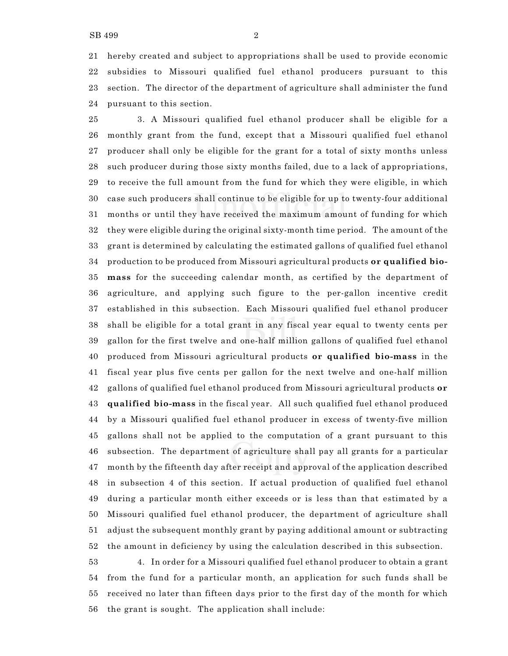hereby created and subject to appropriations shall be used to provide economic subsidies to Missouri qualified fuel ethanol producers pursuant to this section. The director of the department of agriculture shall administer the fund pursuant to this section.

 3. A Missouri qualified fuel ethanol producer shall be eligible for a monthly grant from the fund, except that a Missouri qualified fuel ethanol producer shall only be eligible for the grant for a total of sixty months unless such producer during those sixty months failed, due to a lack of appropriations, to receive the full amount from the fund for which they were eligible, in which case such producers shall continue to be eligible for up to twenty-four additional months or until they have received the maximum amount of funding for which they were eligible during the original sixty-month time period. The amount of the grant is determined by calculating the estimated gallons of qualified fuel ethanol production to be produced from Missouri agricultural products **or qualified bio- mass** for the succeeding calendar month, as certified by the department of agriculture, and applying such figure to the per-gallon incentive credit established in this subsection. Each Missouri qualified fuel ethanol producer shall be eligible for a total grant in any fiscal year equal to twenty cents per gallon for the first twelve and one-half million gallons of qualified fuel ethanol produced from Missouri agricultural products **or qualified bio-mass** in the fiscal year plus five cents per gallon for the next twelve and one-half million gallons of qualified fuel ethanol produced from Missouri agricultural products **or qualified bio-mass** in the fiscal year. All such qualified fuel ethanol produced by a Missouri qualified fuel ethanol producer in excess of twenty-five million gallons shall not be applied to the computation of a grant pursuant to this subsection. The department of agriculture shall pay all grants for a particular month by the fifteenth day after receipt and approval of the application described in subsection 4 of this section. If actual production of qualified fuel ethanol during a particular month either exceeds or is less than that estimated by a Missouri qualified fuel ethanol producer, the department of agriculture shall adjust the subsequent monthly grant by paying additional amount or subtracting the amount in deficiency by using the calculation described in this subsection.

 4. In order for a Missouri qualified fuel ethanol producer to obtain a grant from the fund for a particular month, an application for such funds shall be received no later than fifteen days prior to the first day of the month for which the grant is sought. The application shall include: